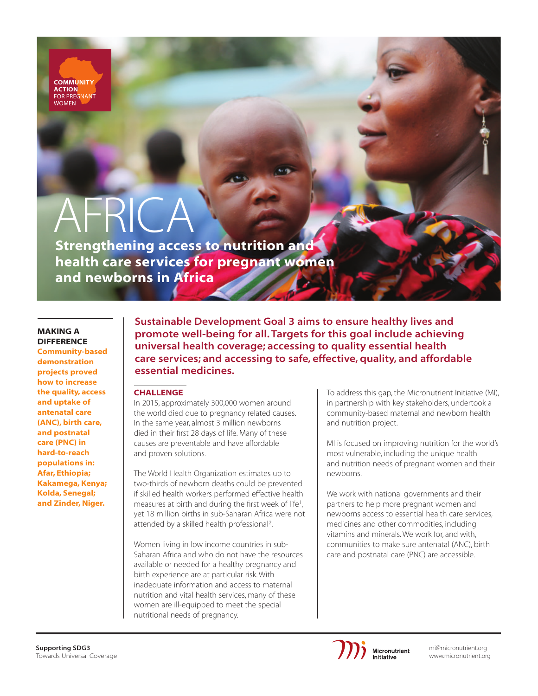**COMMUNITY ACTION** FOR PREGNANT **WOMEN** 

# AFRICA

Strengthening access to nutrition and health care services for pregnant women and newborns in Africa

# MAKING A **DIFFERENCE**

Community-based demonstration projects proved how to increase the quality, access and uptake of antenatal care (ANC), birth care, and postnatal care (PNC) in hard-to-reach populations in: Afar, Ethiopia; Kakamega, Kenya; Kolda, Senegal; and Zinder, Niger.

Sustainable Development Goal 3 aims to ensure healthy lives and promote well-being for all. Targets for this goal include achieving universal health coverage; accessing to quality essential health care services; and accessing to safe, effective, quality, and affordable essential medicines.

# **CHALLENGE**

In 2015, approximately 300,000 women around the world died due to pregnancy related causes. In the same year, almost 3 million newborns died in their first 28 days of life. Many of these causes are preventable and have affordable and proven solutions.

The World Health Organization estimates up to two-thirds of newborn deaths could be prevented if skilled health workers performed effective health measures at birth and during the first week of life<sup>1</sup>, yet 18 million births in sub-Saharan Africa were not attended by a skilled health professional<sup>2</sup>.

Women living in low income countries in sub-Saharan Africa and who do not have the resources available or needed for a healthy pregnancy and birth experience are at particular risk. With inadequate information and access to maternal nutrition and vital health services, many of these women are ill-equipped to meet the special nutritional needs of pregnancy.

To address this gap, the Micronutrient Initiative (MI), in partnership with key stakeholders, undertook a community-based maternal and newborn health and nutrition project.

MI is focused on improving nutrition for the world's most vulnerable, including the unique health and nutrition needs of pregnant women and their newborns.

We work with national governments and their partners to help more pregnant women and newborns access to essential health care services, medicines and other commodities, including vitamins and minerals. We work for, and with, communities to make sure antenatal (ANC), birth care and postnatal care (PNC) are accessible.